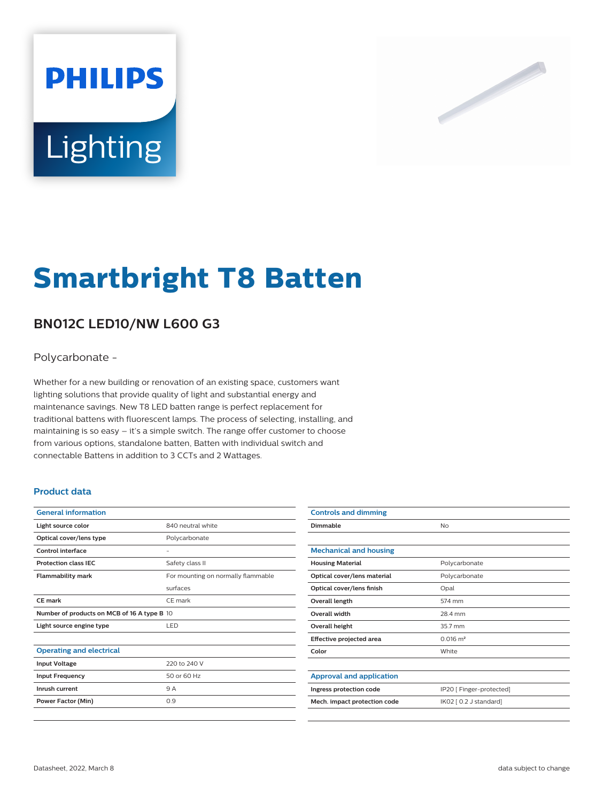# **PHILIPS** Lighting



# **Smartbright T8 Batten**

# **BN012C LED10/NW L600 G3**

# Polycarbonate -

Whether for a new building or renovation of an existing space, customers want lighting solutions that provide quality of light and substantial energy and maintenance savings. New T8 LED batten range is perfect replacement for traditional battens with fluorescent lamps. The process of selecting, installing, and maintaining is so easy – it's a simple switch. The range offer customer to choose from various options, standalone batten, Batten with individual switch and connectable Battens in addition to 3 CCTs and 2 Wattages.

## **Product data**

| <b>General information</b>                  |                                    |  |
|---------------------------------------------|------------------------------------|--|
| Light source color                          | 840 neutral white                  |  |
| Optical cover/lens type                     | Polycarbonate                      |  |
| <b>Control interface</b>                    |                                    |  |
| <b>Protection class IFC</b>                 | Safety class II                    |  |
| <b>Flammability mark</b>                    | For mounting on normally flammable |  |
|                                             | surfaces                           |  |
| <b>CE mark</b>                              | CE mark                            |  |
| Number of products on MCB of 16 A type B 10 |                                    |  |
| Light source engine type                    | LED                                |  |
|                                             |                                    |  |
| <b>Operating and electrical</b>             |                                    |  |
| <b>Input Voltage</b>                        | 220 to 240 V                       |  |
| <b>Input Frequency</b>                      | 50 or 60 Hz                        |  |
| Inrush current                              | 9 A                                |  |
| Power Factor (Min)                          | 0.9                                |  |
|                                             |                                    |  |

| <b>Controls and dimming</b>     |                          |
|---------------------------------|--------------------------|
| Dimmable                        | No                       |
|                                 |                          |
| <b>Mechanical and housing</b>   |                          |
| <b>Housing Material</b>         | Polycarbonate            |
| Optical cover/lens material     | Polycarbonate            |
| Optical cover/lens finish       | Opal                     |
| Overall length                  | 574 mm                   |
| <b>Overall width</b>            | 28.4 mm                  |
| <b>Overall height</b>           | 35.7 mm                  |
| Effective projected area        | $0.016$ m <sup>2</sup>   |
| Color                           | White                    |
|                                 |                          |
| <b>Approval and application</b> |                          |
| Ingress protection code         | IP20 [ Finger-protected] |
| Mech. impact protection code    | IK02 [ 0.2 J standard]   |
|                                 |                          |